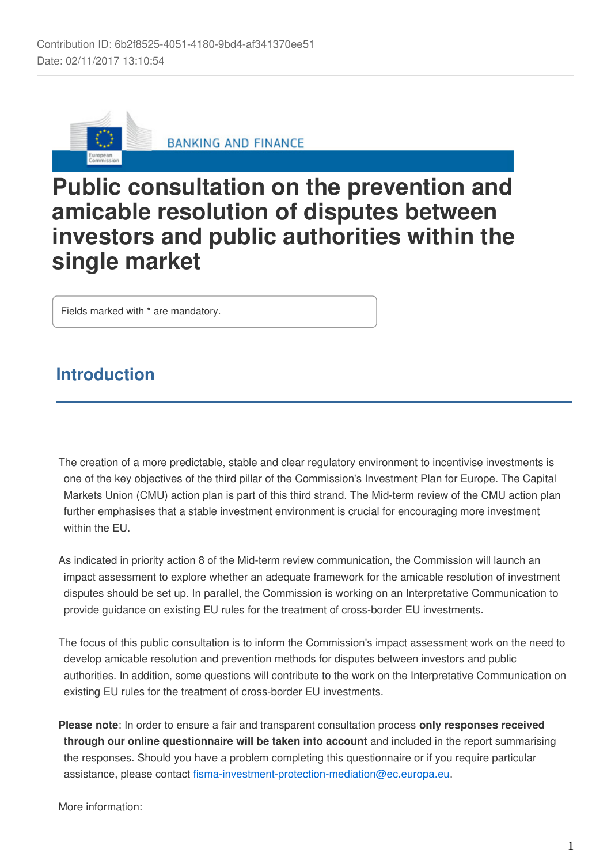

**BANKING AND FINANCE** 

# **Public consultation on the prevention and amicable resolution of disputes between investors and public authorities within the single market**

Fields marked with \* are mandatory.

# **Introduction**

The creation of a more predictable, stable and clear regulatory environment to incentivise investments is one of the key objectives of the third pillar of the Commission's Investment Plan for Europe. The Capital Markets Union (CMU) action plan is part of this third strand. The Mid-term review of the CMU action plan further emphasises that a stable investment environment is crucial for encouraging more investment within the FU.

As indicated in priority action 8 of the Mid-term review communication, the Commission will launch an impact assessment to explore whether an adequate framework for the amicable resolution of investment disputes should be set up. In parallel, the Commission is working on an Interpretative Communication to provide guidance on existing EU rules for the treatment of cross-border EU investments.

The focus of this public consultation is to inform the Commission's impact assessment work on the need to develop amicable resolution and prevention methods for disputes between investors and public authorities. In addition, some questions will contribute to the work on the Interpretative Communication on existing EU rules for the treatment of cross-border EU investments.

**Please note**: In order to ensure a fair and transparent consultation process **only responses received through our online questionnaire will be taken into account** and included in the report summarising the responses. Should you have a problem completing this questionnaire or if you require particular assistance, please contact fisma-investment-protection-mediation@ec.europa.eu.

More information: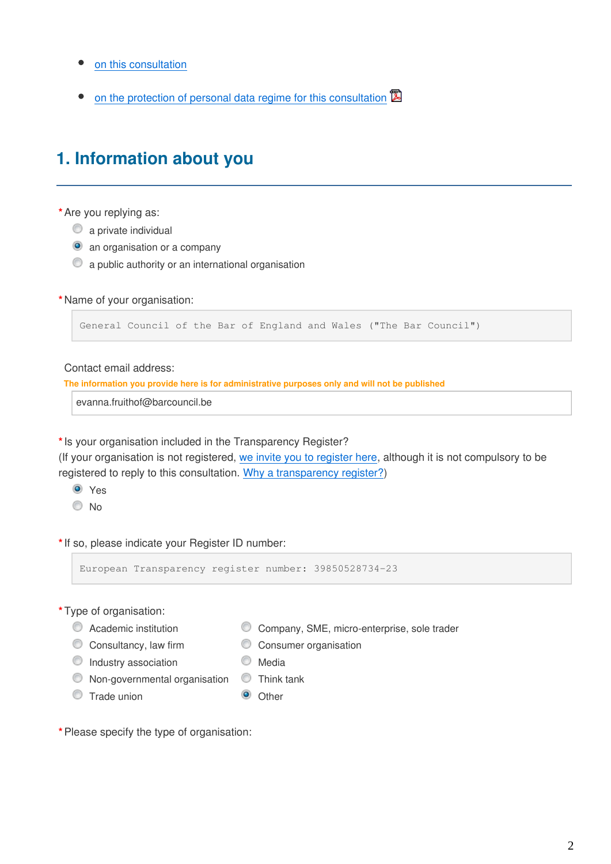- [on this consultation](https://ec.europa.eu/info/consultations/finance-2017-investment-protection-mediation_en)
- [on the protection of personal data regime for this consultation](https://ec.europa.eu/info/files/2017-investment-protection-mediation-privacy-statement_en)  $\mathbb{B}$

# **1. Information about you**

**\***Are you replying as:

- $\bullet$  a private individual
- **O** an organisation or a company
- $\bullet$  a public authority or an international organisation

#### **\***Name of your organisation:

```
General Council of the Bar of England and Wales ("The Bar Council")
```
Contact email address:

**The information you provide here is for administrative purposes only and will not be published**

evanna.fruithof@barcouncil.be

**\***Is your organisation included in the Transparency Register?

(If your organisation is not registered, [we invite you to register here,](http://ec.europa.eu/transparencyregister/public/homePage.do?locale=en) although it is not compulsory to be registered to reply to this consultation. [Why a transparency register?](http://ec.europa.eu/transparencyregister/public/staticPage/displayStaticPage.do?locale=en&reference=WHY_TRANSPARENCY_REGISTER))

- **O** Yes
- © No

**\***If so, please indicate your Register ID number:

European Transparency register number: 39850528734-23

- **\***Type of organisation:
	-
	- Academic institution Company, SME, micro-enterprise, sole trader
	- C Consultancy, law firm C Consumer organisation
	- $\bullet$  Industry association  $\bullet$  Media
	- $\bullet$  Non-governmental organisation  $\bullet$  Think tank
	- O Trade union **O** Other
- 

**\***Please specify the type of organisation: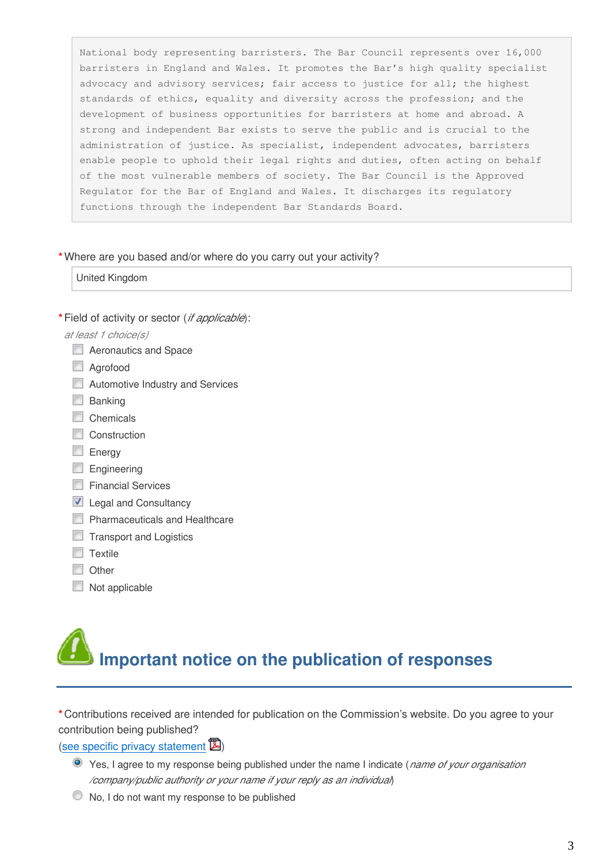National body representing barristers. The Bar Council represents over 16,000 barristers in England and Wales. It promotes the Bar's high quality specialist advocacy and advisory services; fair access to justice for all; the highest standards of ethics, equality and diversity across the profession; and the development of business opportunities for barristers at home and abroad. A strong and independent Bar exists to serve the public and is crucial to the administration of justice. As specialist, independent advocates, barristers enable people to uphold their legal rights and duties, often acting on behalf of the most vulnerable members of society. The Bar Council is the Approved Regulator for the Bar of England and Wales. It discharges its regulatory functions through the independent Bar Standards Board.

#### **\***Where are you based and/or where do you carry out your activity?

United Kingdom

**\***Field of activity or sector (*if applicable*):

## *at least 1 choice(s)*

- **E** Aeronautics and Space
- Agrofood
- **E.** Automotive Industry and Services
- $\Box$  Banking
- Chemicals
- Construction
- **Energy**
- $\Box$  Engineering
- **Financial Services**
- **Legal and Consultancy**
- **Pharmaceuticals and Healthcare**
- $\Box$  Transport and Logistics
- $\Box$  Textile
- **Other**
- Not applicable

# **Important notice on the publication of responses**

**\***Contributions received are intended for publication on the Commission's website. Do you agree to your contribution being published?

## ([see specific privacy statement](https://ec.europa.eu/info/files/2017-investment-protection-mediation-privacy-statement_en)  $\mathbb{Z}$ )

- Yes, I agree to my response being published under the name I indicate (*name of your organisation /company/public authority or your name if your reply as an individual*)
- No, I do not want my response to be published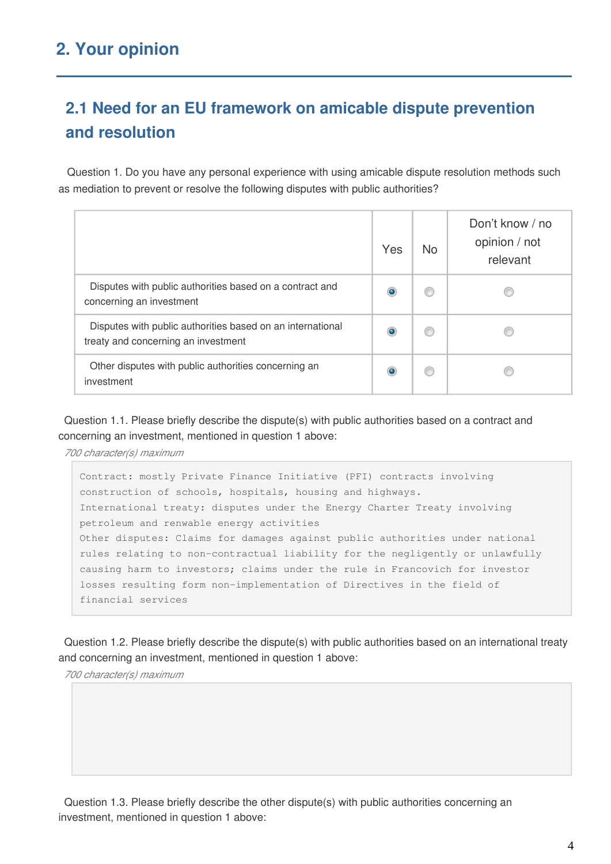# **2.1 Need for an EU framework on amicable dispute prevention and resolution**

 Question 1. Do you have any personal experience with using amicable dispute resolution methods such as mediation to prevent or resolve the following disputes with public authorities?

|                                                                                                   | Yes | <b>No</b> | Don't know / no<br>opinion / not<br>relevant |
|---------------------------------------------------------------------------------------------------|-----|-----------|----------------------------------------------|
| Disputes with public authorities based on a contract and<br>concerning an investment              |     |           |                                              |
| Disputes with public authorities based on an international<br>treaty and concerning an investment |     |           |                                              |
| Other disputes with public authorities concerning an<br>investment                                |     |           |                                              |

Question 1.1. Please briefly describe the dispute(s) with public authorities based on a contract and concerning an investment, mentioned in question 1 above:

*700 character(s) maximum*

Contract: mostly Private Finance Initiative (PFI) contracts involving construction of schools, hospitals, housing and highways. International treaty: disputes under the Energy Charter Treaty involving petroleum and renwable energy activities Other disputes: Claims for damages against public authorities under national rules relating to non-contractual liability for the negligently or unlawfully causing harm to investors; claims under the rule in Francovich for investor losses resulting form non-implementation of Directives in the field of financial services

Question 1.2. Please briefly describe the dispute(s) with public authorities based on an international treaty and concerning an investment, mentioned in question 1 above:

*700 character(s) maximum*

Question 1.3. Please briefly describe the other dispute(s) with public authorities concerning an investment, mentioned in question 1 above: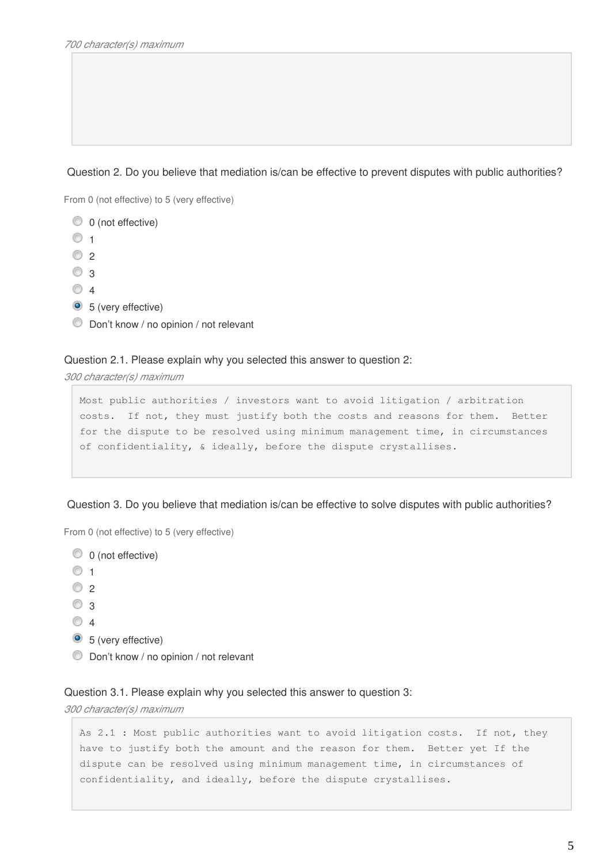## Question 2. Do you believe that mediation is/can be effective to prevent disputes with public authorities?

From 0 (not effective) to 5 (very effective)

```
\circledcirc 0 (not effective)
\circ 1
\circ 2
\odot 3
\circ 4
3 (very effective)
Don't know / no opinion / not relevant
```
#### Question 2.1. Please explain why you selected this answer to question 2:

*300 character(s) maximum*

```
Most public authorities / investors want to avoid litigation / arbitration 
costs. If not, they must justify both the costs and reasons for them. Better 
for the dispute to be resolved using minimum management time, in circumstances 
of confidentiality, & ideally, before the dispute crystallises.
```
Question 3. Do you believe that mediation is/can be effective to solve disputes with public authorities?

From 0 (not effective) to 5 (very effective)

- $\circledcirc$  0 (not effective)  $\circ$  1  $\circ$  2  $\circ$  3  $\circ$  4 <sup>5</sup> (very effective)
- Don't know / no opinion / not relevant

### Question 3.1. Please explain why you selected this answer to question 3:

*300 character(s) maximum*

```
As 2.1 : Most public authorities want to avoid litigation costs. If not, they 
have to justify both the amount and the reason for them. Better yet If the 
dispute can be resolved using minimum management time, in circumstances of 
confidentiality, and ideally, before the dispute crystallises.
```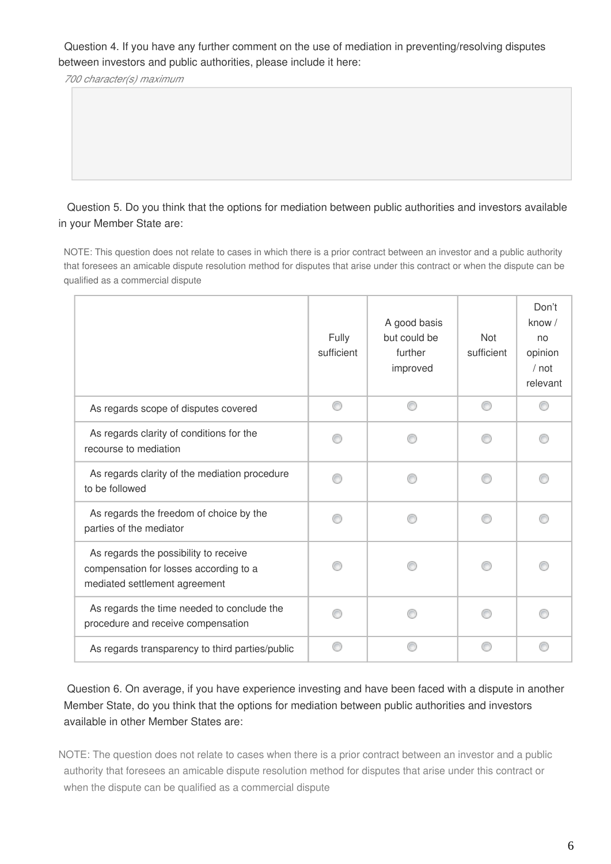Question 4. If you have any further comment on the use of mediation in preventing/resolving disputes between investors and public authorities, please include it here:

*700 character(s) maximum*

 Question 5. Do you think that the options for mediation between public authorities and investors available in your Member State are:

NOTE: This question does not relate to cases in which there is a prior contract between an investor and a public authority that foresees an amicable dispute resolution method for disputes that arise under this contract or when the dispute can be qualified as a commercial dispute

|                                                                                                                  | Fully<br>sufficient | A good basis<br>but could be<br>further<br>improved | <b>Not</b><br>sufficient | Don't<br>know /<br>no<br>opinion<br>$/$ not<br>relevant |
|------------------------------------------------------------------------------------------------------------------|---------------------|-----------------------------------------------------|--------------------------|---------------------------------------------------------|
| As regards scope of disputes covered                                                                             | ∩                   | ⋒                                                   | ⊙                        |                                                         |
| As regards clarity of conditions for the<br>recourse to mediation                                                |                     |                                                     |                          |                                                         |
| As regards clarity of the mediation procedure<br>to be followed                                                  |                     |                                                     |                          |                                                         |
| As regards the freedom of choice by the<br>parties of the mediator                                               |                     |                                                     |                          |                                                         |
| As regards the possibility to receive<br>compensation for losses according to a<br>mediated settlement agreement |                     |                                                     |                          |                                                         |
| As regards the time needed to conclude the<br>procedure and receive compensation                                 |                     |                                                     |                          |                                                         |
| As regards transparency to third parties/public                                                                  |                     |                                                     |                          |                                                         |

 Question 6. On average, if you have experience investing and have been faced with a dispute in another Member State, do you think that the options for mediation between public authorities and investors available in other Member States are:

NOTE: The question does not relate to cases when there is a prior contract between an investor and a public authority that foresees an amicable dispute resolution method for disputes that arise under this contract or when the dispute can be qualified as a commercial dispute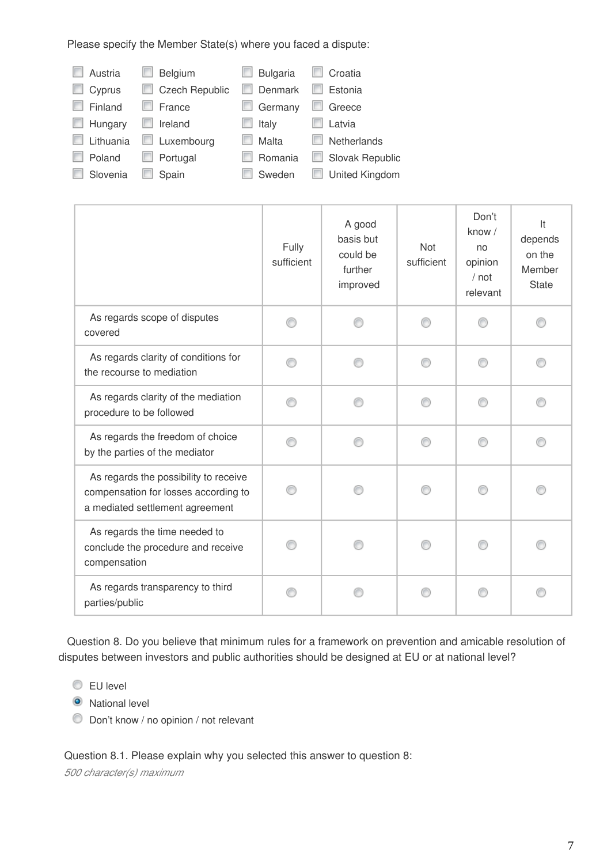Please specify the Member State(s) where you faced a dispute:

| Austria   | Belgium<br>E          | <b>Bulgaria</b> | Croatia               |
|-----------|-----------------------|-----------------|-----------------------|
| Cyprus    | <b>Czech Republic</b> | Denmark         | Estonia               |
| Finland   | France                | Germany         | Greece                |
| Hungary   | Ireland               | Italy           | Latvia                |
| Lithuania | Luxembourg            | Malta           | <b>Netherlands</b>    |
| Poland    | Portugal<br>m         | Romania<br>ш    | Slovak Republic<br>ш  |
| Slovenia  | Spain                 | Sweden          | <b>United Kingdom</b> |

|                                                                                                                  | Fully<br>sufficient | A good<br>basis but<br>could be<br>further<br>improved | Not<br>sufficient | Don't<br>know /<br>no<br>opinion<br>$/$ not<br>relevant | It<br>depends<br>on the<br>Member<br><b>State</b> |
|------------------------------------------------------------------------------------------------------------------|---------------------|--------------------------------------------------------|-------------------|---------------------------------------------------------|---------------------------------------------------|
| As regards scope of disputes<br>covered                                                                          |                     |                                                        |                   |                                                         |                                                   |
| As regards clarity of conditions for<br>the recourse to mediation                                                |                     |                                                        |                   |                                                         |                                                   |
| As regards clarity of the mediation<br>procedure to be followed                                                  |                     |                                                        |                   |                                                         |                                                   |
| As regards the freedom of choice<br>by the parties of the mediator                                               |                     |                                                        |                   |                                                         |                                                   |
| As regards the possibility to receive<br>compensation for losses according to<br>a mediated settlement agreement |                     |                                                        |                   |                                                         |                                                   |
| As regards the time needed to<br>conclude the procedure and receive<br>compensation                              |                     |                                                        |                   |                                                         |                                                   |
| As regards transparency to third<br>parties/public                                                               |                     |                                                        |                   |                                                         |                                                   |

 Question 8. Do you believe that minimum rules for a framework on prevention and amicable resolution of disputes between investors and public authorities should be designed at EU or at national level?

**EU** level

**O** National level

Don't know / no opinion / not relevant

Question 8.1. Please explain why you selected this answer to question 8:

*500 character(s) maximum*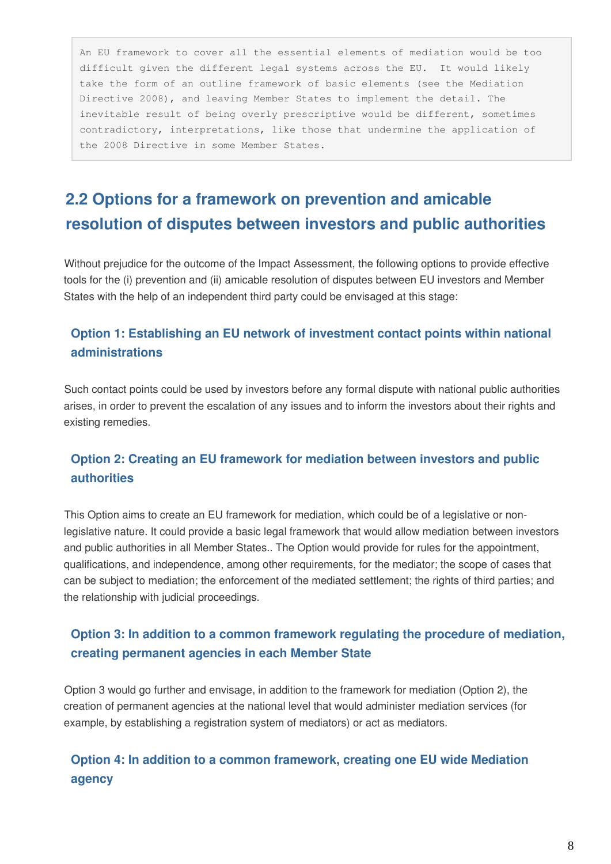An EU framework to cover all the essential elements of mediation would be too difficult given the different legal systems across the EU. It would likely take the form of an outline framework of basic elements (see the Mediation Directive 2008), and leaving Member States to implement the detail. The inevitable result of being overly prescriptive would be different, sometimes contradictory, interpretations, like those that undermine the application of the 2008 Directive in some Member States.

# **2.2 Options for a framework on prevention and amicable resolution of disputes between investors and public authorities**

Without prejudice for the outcome of the Impact Assessment, the following options to provide effective tools for the (i) prevention and (ii) amicable resolution of disputes between EU investors and Member States with the help of an independent third party could be envisaged at this stage:

# **Option 1: Establishing an EU network of investment contact points within national administrations**

Such contact points could be used by investors before any formal dispute with national public authorities arises, in order to prevent the escalation of any issues and to inform the investors about their rights and existing remedies.

# **Option 2: Creating an EU framework for mediation between investors and public authorities**

This Option aims to create an EU framework for mediation, which could be of a legislative or nonlegislative nature. It could provide a basic legal framework that would allow mediation between investors and public authorities in all Member States.. The Option would provide for rules for the appointment, qualifications, and independence, among other requirements, for the mediator; the scope of cases that can be subject to mediation; the enforcement of the mediated settlement; the rights of third parties; and the relationship with judicial proceedings.

# **Option 3: In addition to a common framework regulating the procedure of mediation, creating permanent agencies in each Member State**

Option 3 would go further and envisage, in addition to the framework for mediation (Option 2), the creation of permanent agencies at the national level that would administer mediation services (for example, by establishing a registration system of mediators) or act as mediators.

# **Option 4: In addition to a common framework, creating one EU wide Mediation agency**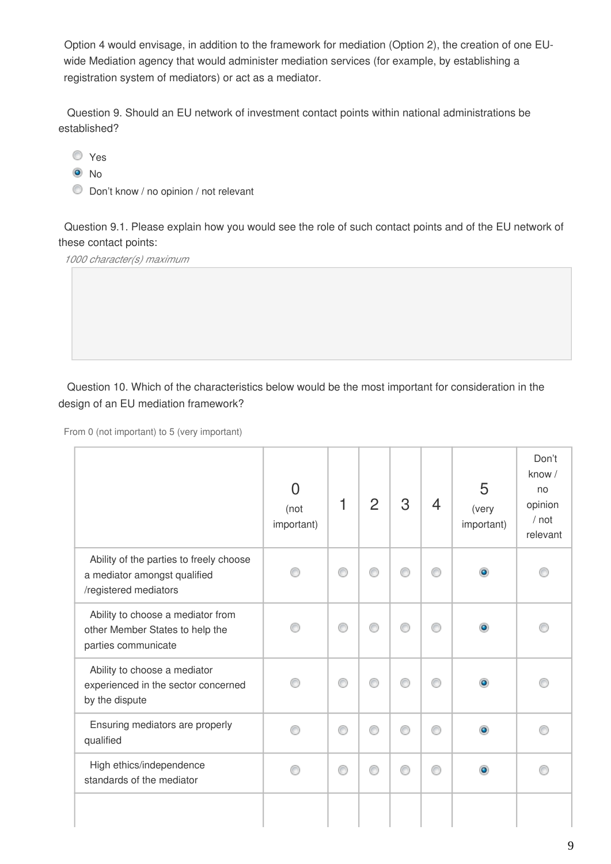Option 4 would envisage, in addition to the framework for mediation (Option 2), the creation of one EUwide Mediation agency that would administer mediation services (for example, by establishing a registration system of mediators) or act as a mediator.

 Question 9. Should an EU network of investment contact points within national administrations be established?

Yes

<sup>O</sup>No

Don't know / no opinion / not relevant

Question 9.1. Please explain how you would see the role of such contact points and of the EU network of these contact points:

*1000 character(s) maximum*

 Question 10. Which of the characteristics below would be the most important for consideration in the design of an EU mediation framework?

|                                                                                                  | N<br>(not<br>important) |   | $\overline{2}$ | 3 | 4 | 5<br>(very<br>important) | Don't<br>know /<br>no<br>opinion<br>$/$ not<br>relevant |
|--------------------------------------------------------------------------------------------------|-------------------------|---|----------------|---|---|--------------------------|---------------------------------------------------------|
| Ability of the parties to freely choose<br>a mediator amongst qualified<br>/registered mediators |                         | ⋒ |                | ⊙ |   | $\bullet$                |                                                         |
| Ability to choose a mediator from<br>other Member States to help the<br>parties communicate      |                         | C |                | ∩ | ⋒ |                          |                                                         |
| Ability to choose a mediator<br>experienced in the sector concerned<br>by the dispute            |                         | ◎ |                | ⊙ | ⋒ |                          |                                                         |
| Ensuring mediators are properly<br>qualified                                                     |                         | ∩ |                | ⊙ |   |                          |                                                         |
| High ethics/independence<br>standards of the mediator                                            |                         | ⋒ |                | ⊙ | ⋒ |                          |                                                         |
|                                                                                                  |                         |   |                |   |   |                          |                                                         |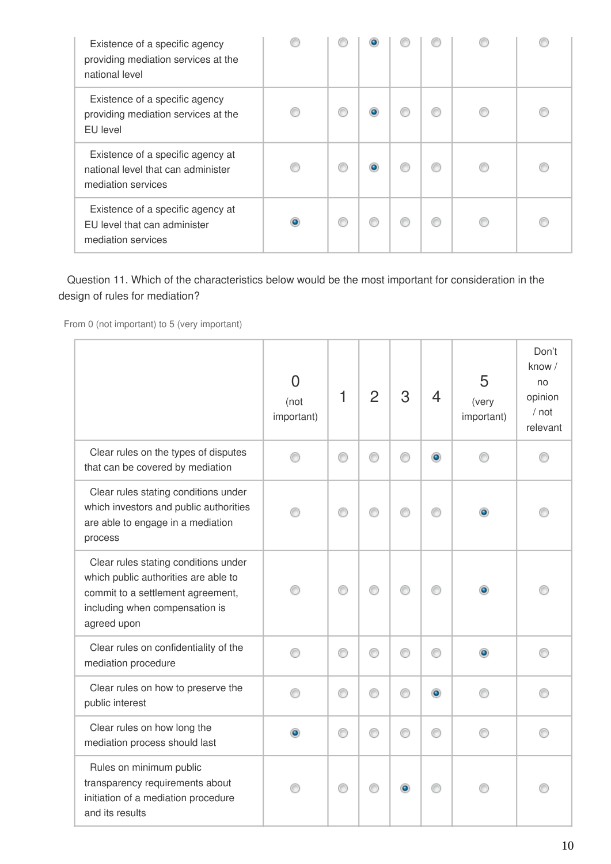| Existence of a specific agency<br>providing mediation services at the<br>national level       |   |  |   |  |
|-----------------------------------------------------------------------------------------------|---|--|---|--|
| Existence of a specific agency<br>providing mediation services at the<br>EU level             |   |  |   |  |
| Existence of a specific agency at<br>national level that can administer<br>mediation services |   |  |   |  |
| Existence of a specific agency at<br>EU level that can administer<br>mediation services       | œ |  | ⋒ |  |

 Question 11. Which of the characteristics below would be the most important for consideration in the design of rules for mediation?

|                                                                                                                                                                    | $\Omega$<br>(not<br>important) | 1 | $\overline{2}$ | 3 | 4         | 5<br>(very<br>important) | Don't<br>know /<br>no<br>opinion<br>/ not<br>relevant |
|--------------------------------------------------------------------------------------------------------------------------------------------------------------------|--------------------------------|---|----------------|---|-----------|--------------------------|-------------------------------------------------------|
| Clear rules on the types of disputes<br>that can be covered by mediation                                                                                           |                                | ⋒ |                | ⋒ | ۰         |                          |                                                       |
| Clear rules stating conditions under<br>which investors and public authorities<br>are able to engage in a mediation<br>process                                     |                                | ∩ |                | ⋒ |           |                          |                                                       |
| Clear rules stating conditions under<br>which public authorities are able to<br>commit to a settlement agreement,<br>including when compensation is<br>agreed upon |                                | ∩ |                |   |           |                          |                                                       |
| Clear rules on confidentiality of the<br>mediation procedure                                                                                                       | ∩                              | ⊙ | ⋒              | ⊙ | ⋒         |                          |                                                       |
| Clear rules on how to preserve the<br>public interest                                                                                                              | ∩                              | ⊙ | ⋒              | 0 | $\bullet$ |                          |                                                       |
| Clear rules on how long the<br>mediation process should last                                                                                                       | ۰                              | ⊙ | ⋒              | ⊙ | O         |                          |                                                       |
| Rules on minimum public<br>transparency requirements about<br>initiation of a mediation procedure<br>and its results                                               |                                | ⊙ |                | ۰ |           |                          |                                                       |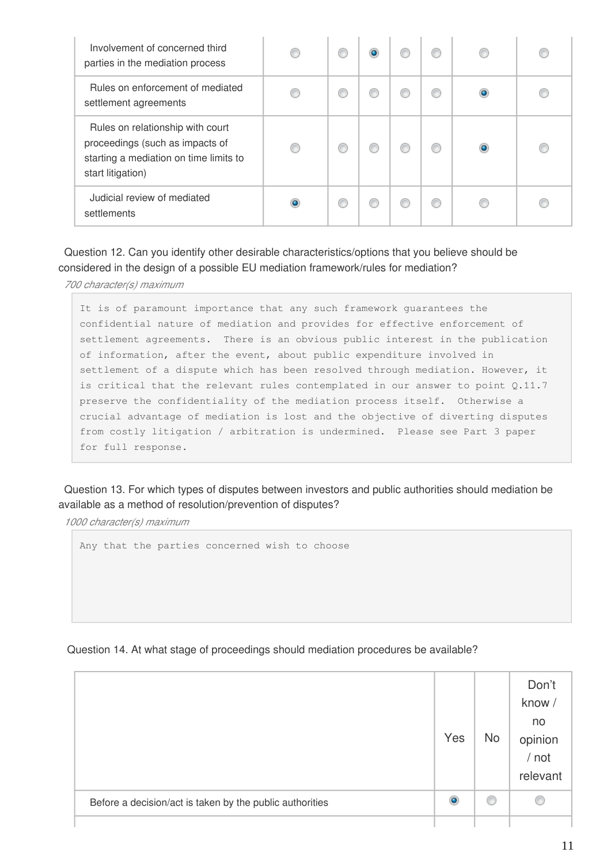| Involvement of concerned third<br>parties in the mediation process                                                                 |  |  |   |  |
|------------------------------------------------------------------------------------------------------------------------------------|--|--|---|--|
| Rules on enforcement of mediated<br>settlement agreements                                                                          |  |  | ⋒ |  |
| Rules on relationship with court<br>proceedings (such as impacts of<br>starting a mediation on time limits to<br>start litigation) |  |  | ⋒ |  |
| Judicial review of mediated<br>settlements                                                                                         |  |  |   |  |

Question 12. Can you identify other desirable characteristics/options that you believe should be considered in the design of a possible EU mediation framework/rules for mediation?

*700 character(s) maximum*

It is of paramount importance that any such framework guarantees the confidential nature of mediation and provides for effective enforcement of settlement agreements. There is an obvious public interest in the publication of information, after the event, about public expenditure involved in settlement of a dispute which has been resolved through mediation. However, it is critical that the relevant rules contemplated in our answer to point Q.11.7 preserve the confidentiality of the mediation process itself. Otherwise a crucial advantage of mediation is lost and the objective of diverting disputes from costly litigation / arbitration is undermined. Please see Part 3 paper for full response.

Question 13. For which types of disputes between investors and public authorities should mediation be available as a method of resolution/prevention of disputes?

*1000 character(s) maximum*

Any that the parties concerned wish to choose

#### Question 14. At what stage of proceedings should mediation procedures be available?

|                                                          | Yes       | <b>No</b> | Don't<br>know /<br>no<br>opinion<br>/ not<br>relevant |
|----------------------------------------------------------|-----------|-----------|-------------------------------------------------------|
| Before a decision/act is taken by the public authorities | $\bullet$ | O         | 0                                                     |
|                                                          |           |           |                                                       |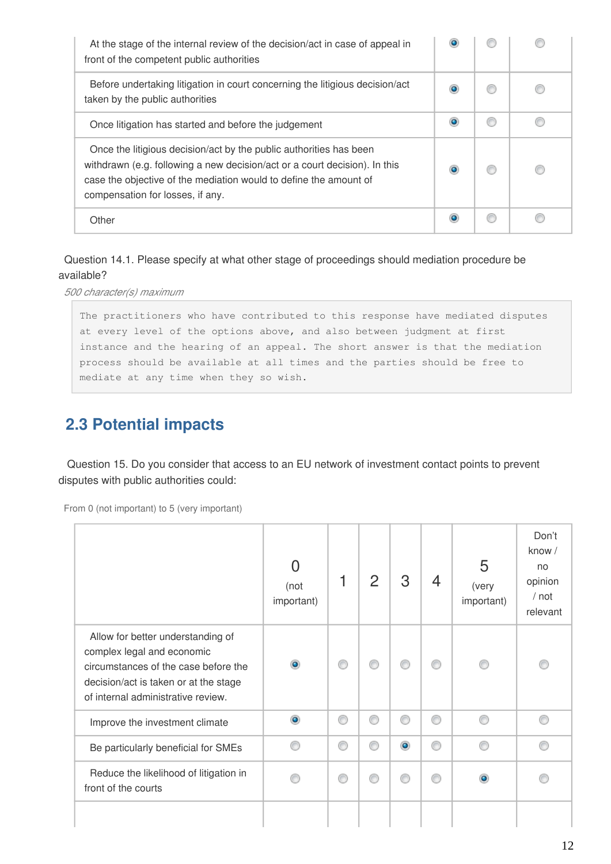| At the stage of the internal review of the decision/act in case of appeal in<br>front of the competent public authorities                                                                                                                                 |           |   |  |
|-----------------------------------------------------------------------------------------------------------------------------------------------------------------------------------------------------------------------------------------------------------|-----------|---|--|
| Before undertaking litigation in court concerning the litigious decision/act<br>taken by the public authorities                                                                                                                                           |           |   |  |
| Once litigation has started and before the judgement                                                                                                                                                                                                      | $\bullet$ | € |  |
| Once the litigious decision/act by the public authorities has been<br>withdrawn (e.g. following a new decision/act or a court decision). In this<br>case the objective of the mediation would to define the amount of<br>compensation for losses, if any. |           |   |  |
| Other                                                                                                                                                                                                                                                     |           |   |  |

Question 14.1. Please specify at what other stage of proceedings should mediation procedure be available?

*500 character(s) maximum*

The practitioners who have contributed to this response have mediated disputes at every level of the options above, and also between judgment at first instance and the hearing of an appeal. The short answer is that the mediation process should be available at all times and the parties should be free to mediate at any time when they so wish.

# **2.3 Potential impacts**

 Question 15. Do you consider that access to an EU network of investment contact points to prevent disputes with public authorities could:

|                                                                                                                                                                                        | O<br>(not<br>important) |   | 2 | 3         | 4 | 5<br>(very<br>important) | Don't<br>know /<br>no<br>opinion<br>/ not<br>relevant |
|----------------------------------------------------------------------------------------------------------------------------------------------------------------------------------------|-------------------------|---|---|-----------|---|--------------------------|-------------------------------------------------------|
| Allow for better understanding of<br>complex legal and economic<br>circumstances of the case before the<br>decision/act is taken or at the stage<br>of internal administrative review. |                         | ◎ |   | ⋒         |   |                          |                                                       |
| Improve the investment climate                                                                                                                                                         | ۵                       | € | ⋒ | ⊙         | ⋒ |                          |                                                       |
| Be particularly beneficial for SMEs                                                                                                                                                    |                         | ⋒ |   | $\bullet$ | ⋒ | ⋒                        |                                                       |
| Reduce the likelihood of litigation in<br>front of the courts                                                                                                                          |                         | ∩ | ⋒ | ⊙         | ⋒ |                          |                                                       |
|                                                                                                                                                                                        |                         |   |   |           |   |                          |                                                       |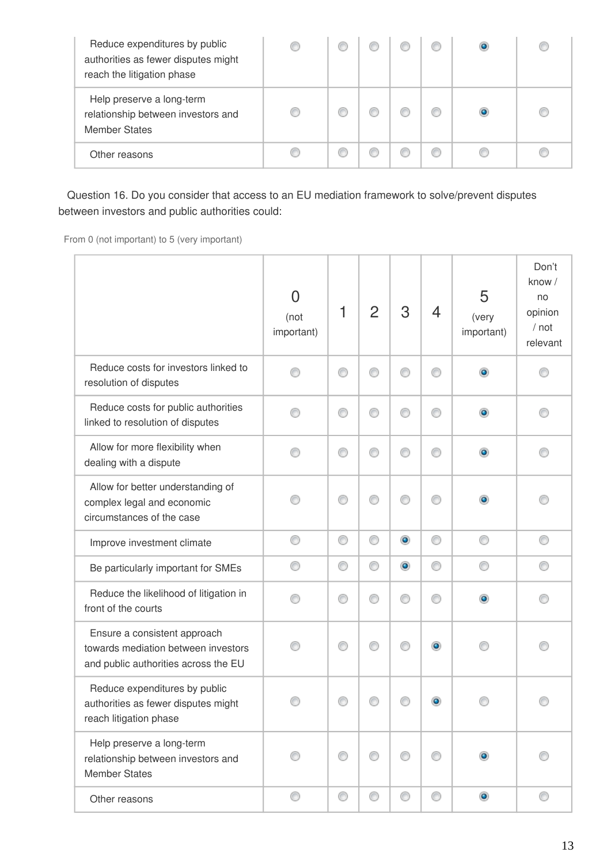| Reduce expenditures by public<br>authorities as fewer disputes might<br>reach the litigation phase |  |  |  |  |
|----------------------------------------------------------------------------------------------------|--|--|--|--|
| Help preserve a long-term<br>relationship between investors and<br><b>Member States</b>            |  |  |  |  |
| Other reasons                                                                                      |  |  |  |  |

 Question 16. Do you consider that access to an EU mediation framework to solve/prevent disputes between investors and public authorities could:

|                                                                                                             | $\overline{0}$<br>(not<br>important) | 1 | $\overline{2}$ | 3         | $\overline{4}$ | 5<br>(very<br>important) | Don't<br>know /<br>no<br>opinion<br>/ not<br>relevant |
|-------------------------------------------------------------------------------------------------------------|--------------------------------------|---|----------------|-----------|----------------|--------------------------|-------------------------------------------------------|
| Reduce costs for investors linked to<br>resolution of disputes                                              |                                      | ⊙ |                | ⊙         | ⋒              | ۰                        |                                                       |
| Reduce costs for public authorities<br>linked to resolution of disputes                                     |                                      | ⊙ |                | ⊙         | ⋒              | ۰                        |                                                       |
| Allow for more flexibility when<br>dealing with a dispute                                                   |                                      | ⊙ |                | ⊙         | ∩              | ۰                        |                                                       |
| Allow for better understanding of<br>complex legal and economic<br>circumstances of the case                |                                      | ⊙ | ⋒              | ⊙         | ⋒              | $\bullet$                |                                                       |
| Improve investment climate                                                                                  | ⊙                                    | ⊙ | ⊙              | $\bullet$ | 0              | 0                        | ⊙                                                     |
| Be particularly important for SMEs                                                                          | ⊙                                    | ⊙ | ⊙              | $\bullet$ | ⊙              | ⊙                        | €                                                     |
| Reduce the likelihood of litigation in<br>front of the courts                                               |                                      | ⊙ | ∩              | ⊙         | ⋒              | $\bullet$                |                                                       |
| Ensure a consistent approach<br>towards mediation between investors<br>and public authorities across the EU |                                      | ⊙ |                | ⊙         | $\bullet$      |                          |                                                       |
| Reduce expenditures by public<br>authorities as fewer disputes might<br>reach litigation phase              |                                      |   |                |           | $\bullet$      |                          |                                                       |
| Help preserve a long-term<br>relationship between investors and<br><b>Member States</b>                     |                                      | 0 | ⊙              | 0         | ⊙              | $\bullet$                |                                                       |
| Other reasons                                                                                               | O                                    | O | 0              | O         | O              | $\bullet$                | 0                                                     |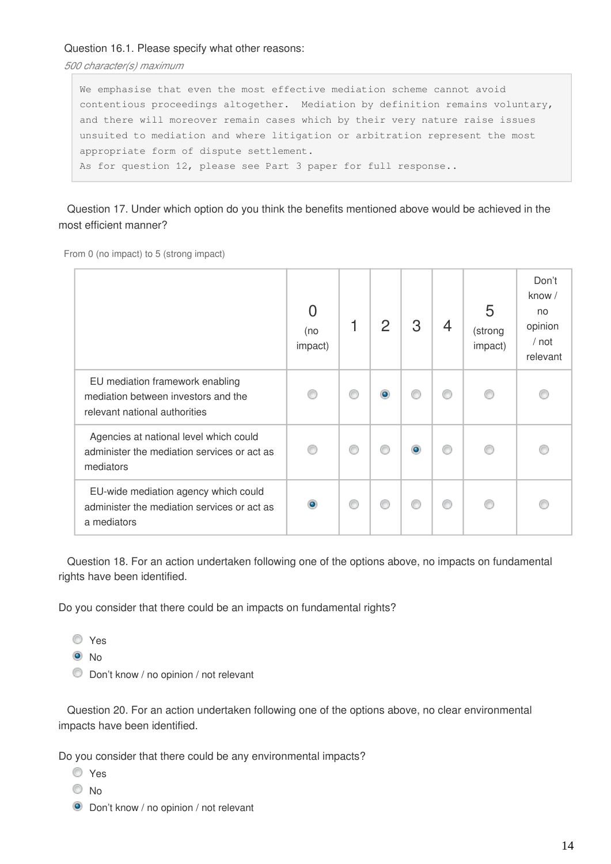## Question 16.1. Please specify what other reasons:

*500 character(s) maximum*

We emphasise that even the most effective mediation scheme cannot avoid contentious proceedings altogether. Mediation by definition remains voluntary, and there will moreover remain cases which by their very nature raise issues unsuited to mediation and where litigation or arbitration represent the most appropriate form of dispute settlement. As for question 12, please see Part 3 paper for full response..

 Question 17. Under which option do you think the benefits mentioned above would be achieved in the most efficient manner?

From 0 (no impact) to 5 (strong impact)

|                                                                                                         | 0<br>(no<br>impact) |   | $\mathcal{P}$ | З         | 4 | 5<br>(strong<br>impact) | Don't<br>know $/$<br>no<br>opinion<br>$/$ not<br>relevant |
|---------------------------------------------------------------------------------------------------------|---------------------|---|---------------|-----------|---|-------------------------|-----------------------------------------------------------|
| EU mediation framework enabling<br>mediation between investors and the<br>relevant national authorities |                     | ⊙ |               |           |   |                         |                                                           |
| Agencies at national level which could<br>administer the mediation services or act as<br>mediators      | ∩                   | ⊙ |               | $\bullet$ | ⊙ |                         |                                                           |
| EU-wide mediation agency which could<br>administer the mediation services or act as<br>a mediators      | $\bullet$           | ⊙ |               | ⋒         | ∩ |                         |                                                           |

 Question 18. For an action undertaken following one of the options above, no impacts on fundamental rights have been identified.

Do you consider that there could be an impacts on fundamental rights?

O Yes

 $\odot$  No

Don't know / no opinion / not relevant

 Question 20. For an action undertaken following one of the options above, no clear environmental impacts have been identified.

Do you consider that there could be any environmental impacts?

- Yes
- © No
- **O** Don't know / no opinion / not relevant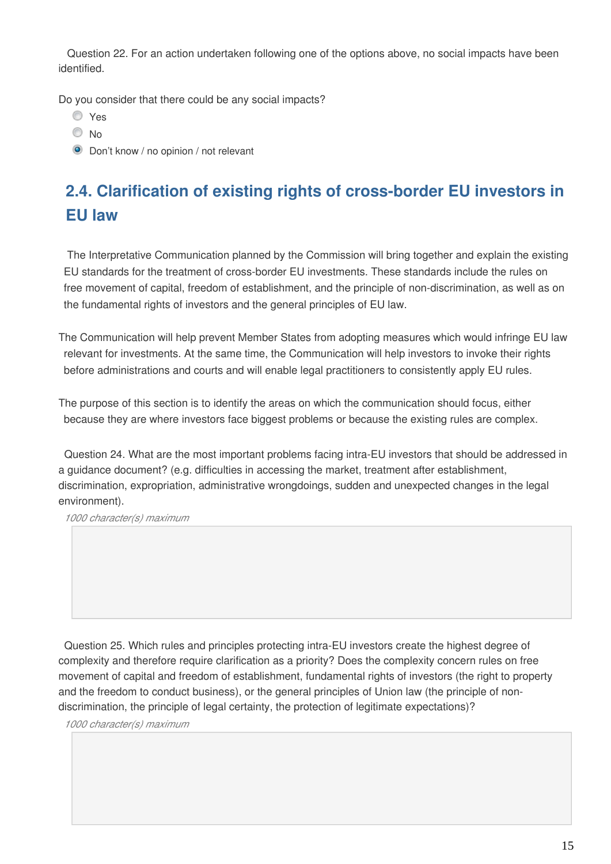Question 22. For an action undertaken following one of the options above, no social impacts have been identified.

Do you consider that there could be any social impacts?

- Yes
- $\odot$  No
- **O** Don't know / no opinion / not relevant

# **2.4. Clarification of existing rights of cross-border EU investors in EU law**

 The Interpretative Communication planned by the Commission will bring together and explain the existing EU standards for the treatment of cross-border EU investments. These standards include the rules on free movement of capital, freedom of establishment, and the principle of non-discrimination, as well as on the fundamental rights of investors and the general principles of EU law.

The Communication will help prevent Member States from adopting measures which would infringe EU law relevant for investments. At the same time, the Communication will help investors to invoke their rights before administrations and courts and will enable legal practitioners to consistently apply EU rules.

The purpose of this section is to identify the areas on which the communication should focus, either because they are where investors face biggest problems or because the existing rules are complex.

Question 24. What are the most important problems facing intra-EU investors that should be addressed in a guidance document? (e.g. difficulties in accessing the market, treatment after establishment, discrimination, expropriation, administrative wrongdoings, sudden and unexpected changes in the legal environment).

*1000 character(s) maximum*

Question 25. Which rules and principles protecting intra-EU investors create the highest degree of complexity and therefore require clarification as a priority? Does the complexity concern rules on free movement of capital and freedom of establishment, fundamental rights of investors (the right to property and the freedom to conduct business), or the general principles of Union law (the principle of nondiscrimination, the principle of legal certainty, the protection of legitimate expectations)?

*1000 character(s) maximum*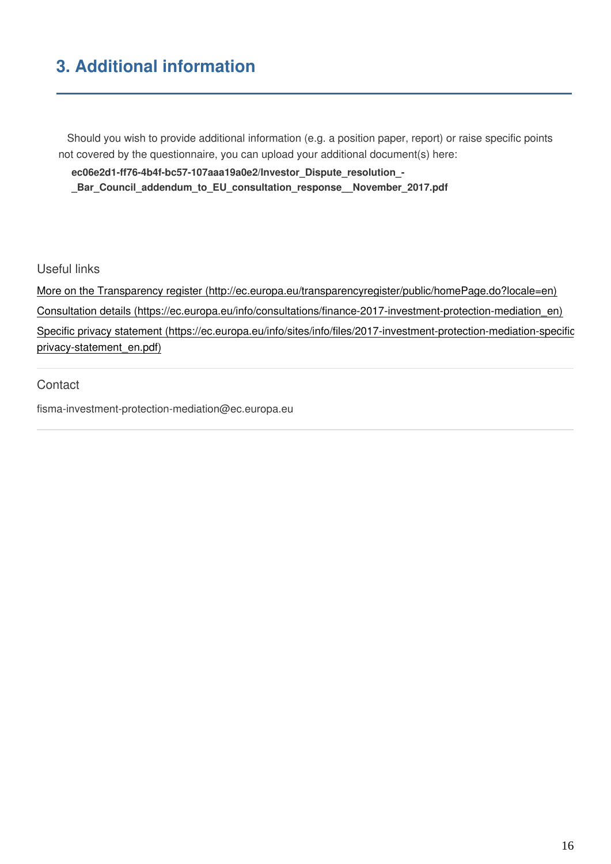# **3. Additional information**

 Should you wish to provide additional information (e.g. a position paper, report) or raise specific points not covered by the questionnaire, you can upload your additional document(s) here:

**ec06e2d1-ff76-4b4f-bc57-107aaa19a0e2/Investor\_Dispute\_resolution\_-**

**\_Bar\_Council\_addendum\_to\_EU\_consultation\_response\_\_November\_2017.pdf**

Useful links

[More on the Transparency register \(http://ec.europa.eu/transparencyregister/public/homePage.do?locale=en\)](http://ec.europa.eu/transparencyregister/public/homePage.do?locale=en) [Consultation details \(https://ec.europa.eu/info/consultations/finance-2017-investment-protection-mediation\\_en\)](https://ec.europa.eu/info/consultations/finance-2017-investment-protection-mediation_en) [Specific privacy statement \(https://ec.europa.eu/info/sites/info/files/2017-investment-protection-mediation-specific](https://ec.europa.eu/info/sites/info/files/2017-investment-protection-mediation-specific-privacy-statement_en.pdf)[privacy-statement\\_en.pdf\)](https://ec.europa.eu/info/sites/info/files/2017-investment-protection-mediation-specific-privacy-statement_en.pdf)

**Contact** 

fisma-investment-protection-mediation@ec.europa.eu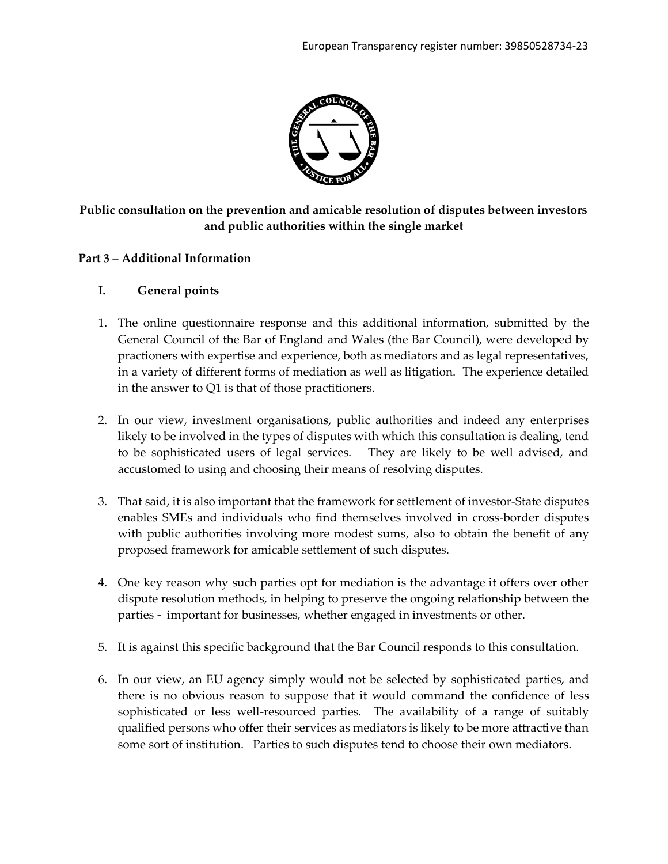

# **Public consultation on the prevention and amicable resolution of disputes between investors and public authorities within the single market**

## **Part 3 – Additional Information**

## **I. General points**

- 1. The online questionnaire response and this additional information, submitted by the General Council of the Bar of England and Wales (the Bar Council), were developed by practioners with expertise and experience, both as mediators and as legal representatives, in a variety of different forms of mediation as well as litigation. The experience detailed in the answer to Q1 is that of those practitioners.
- 2. In our view, investment organisations, public authorities and indeed any enterprises likely to be involved in the types of disputes with which this consultation is dealing, tend to be sophisticated users of legal services. They are likely to be well advised, and accustomed to using and choosing their means of resolving disputes.
- 3. That said, it is also important that the framework for settlement of investor-State disputes enables SMEs and individuals who find themselves involved in cross-border disputes with public authorities involving more modest sums, also to obtain the benefit of any proposed framework for amicable settlement of such disputes.
- 4. One key reason why such parties opt for mediation is the advantage it offers over other dispute resolution methods, in helping to preserve the ongoing relationship between the parties - important for businesses, whether engaged in investments or other.
- 5. It is against this specific background that the Bar Council responds to this consultation.
- 6. In our view, an EU agency simply would not be selected by sophisticated parties, and there is no obvious reason to suppose that it would command the confidence of less sophisticated or less well-resourced parties. The availability of a range of suitably qualified persons who offer their services as mediators is likely to be more attractive than some sort of institution. Parties to such disputes tend to choose their own mediators.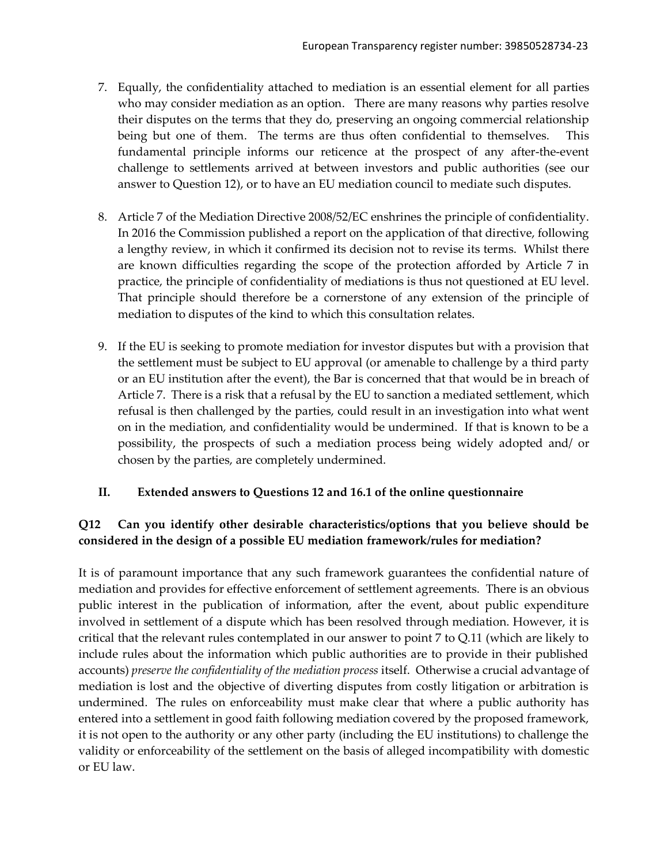- 7. Equally, the confidentiality attached to mediation is an essential element for all parties who may consider mediation as an option. There are many reasons why parties resolve their disputes on the terms that they do, preserving an ongoing commercial relationship being but one of them. The terms are thus often confidential to themselves. This fundamental principle informs our reticence at the prospect of any after-the-event challenge to settlements arrived at between investors and public authorities (see our answer to Question 12), or to have an EU mediation council to mediate such disputes.
- 8. Article 7 of the Mediation Directive 2008/52/EC enshrines the principle of confidentiality. In 2016 the Commission published a report on the application of that directive, following a lengthy review, in which it confirmed its decision not to revise its terms. Whilst there are known difficulties regarding the scope of the protection afforded by Article 7 in practice, the principle of confidentiality of mediations is thus not questioned at EU level. That principle should therefore be a cornerstone of any extension of the principle of mediation to disputes of the kind to which this consultation relates.
- 9. If the EU is seeking to promote mediation for investor disputes but with a provision that the settlement must be subject to EU approval (or amenable to challenge by a third party or an EU institution after the event), the Bar is concerned that that would be in breach of Article 7. There is a risk that a refusal by the EU to sanction a mediated settlement, which refusal is then challenged by the parties, could result in an investigation into what went on in the mediation, and confidentiality would be undermined. If that is known to be a possibility, the prospects of such a mediation process being widely adopted and/ or chosen by the parties, are completely undermined.

## **II. Extended answers to Questions 12 and 16.1 of the online questionnaire**

# **Q12 Can you identify other desirable characteristics/options that you believe should be considered in the design of a possible EU mediation framework/rules for mediation?**

It is of paramount importance that any such framework guarantees the confidential nature of mediation and provides for effective enforcement of settlement agreements. There is an obvious public interest in the publication of information, after the event, about public expenditure involved in settlement of a dispute which has been resolved through mediation. However, it is critical that the relevant rules contemplated in our answer to point 7 to Q.11 (which are likely to include rules about the information which public authorities are to provide in their published accounts) *preserve the confidentiality of the mediation process* itself. Otherwise a crucial advantage of mediation is lost and the objective of diverting disputes from costly litigation or arbitration is undermined. The rules on enforceability must make clear that where a public authority has entered into a settlement in good faith following mediation covered by the proposed framework, it is not open to the authority or any other party (including the EU institutions) to challenge the validity or enforceability of the settlement on the basis of alleged incompatibility with domestic or EU law.